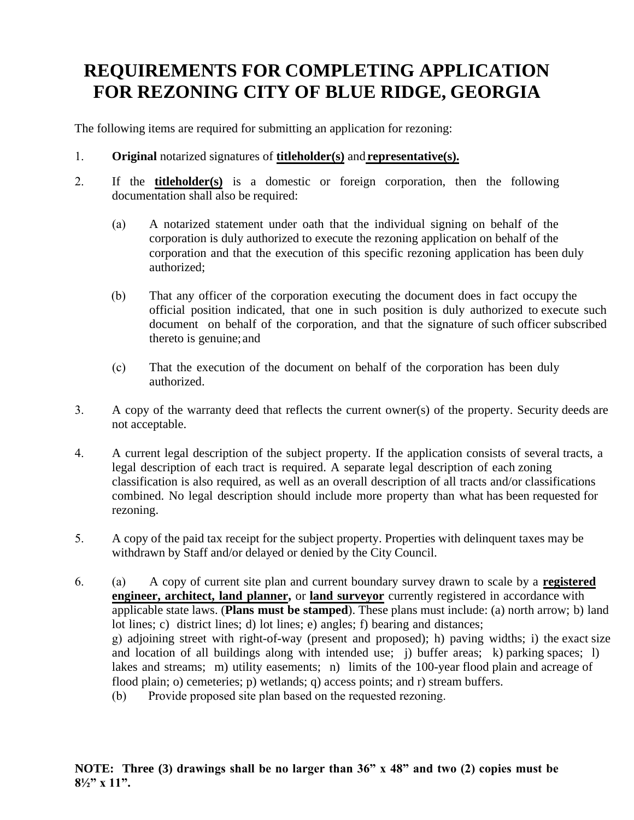## **REQUIREMENTS FOR COMPLETING APPLICATION FOR REZONING CITY OF BLUE RIDGE, GEORGIA**

The following items are required for submitting an application for rezoning:

- 1. **Original** notarized signatures of **titleholder(s)** and **representative(s).**
- 2. If the **titleholder(s)** is a domestic or foreign corporation, then the following documentation shall also be required:
	- (a) A notarized statement under oath that the individual signing on behalf of the corporation is duly authorized to execute the rezoning application on behalf of the corporation and that the execution of this specific rezoning application has been duly authorized;
	- (b) That any officer of the corporation executing the document does in fact occupy the official position indicated, that one in such position is duly authorized to execute such document on behalf of the corporation, and that the signature of such officer subscribed thereto is genuine; and
	- (c) That the execution of the document on behalf of the corporation has been duly authorized.
- 3. A copy of the warranty deed that reflects the current owner(s) of the property. Security deeds are not acceptable.
- 4. A current legal description of the subject property. If the application consists of several tracts, a legal description of each tract is required. A separate legal description of each zoning classification is also required, as well as an overall description of all tracts and/or classifications combined. No legal description should include more property than what has been requested for rezoning.
- 5. A copy of the paid tax receipt for the subject property. Properties with delinquent taxes may be withdrawn by Staff and/or delayed or denied by the City Council.
- 6. (a) A copy of current site plan and current boundary survey drawn to scale by a **registered engineer, architect, land planner,** or **land surveyor** currently registered in accordance with applicable state laws. (**Plans must be stamped**). These plans must include: (a) north arrow; b) land lot lines; c) district lines; d) lot lines; e) angles; f) bearing and distances; g) adjoining street with right-of-way (present and proposed); h) paving widths; i) the exact size and location of all buildings along with intended use; j) buffer areas; k) parking spaces; l) lakes and streams; m) utility easements; n) limits of the 100-year flood plain and acreage of flood plain; o) cemeteries; p) wetlands; q) access points; and r) stream buffers. (b) Provide proposed site plan based on the requested rezoning.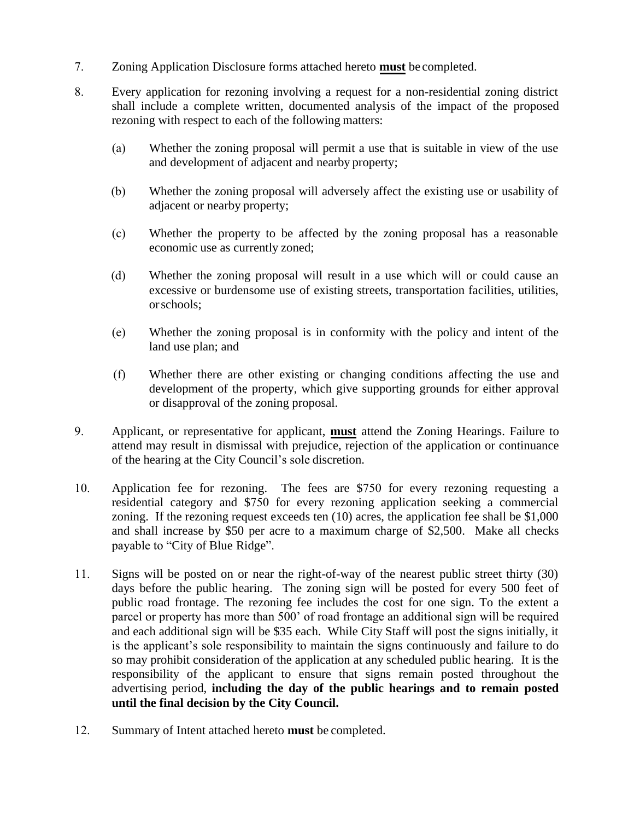- 7. Zoning Application Disclosure forms attached hereto **must** be completed.
- 8. Every application for rezoning involving a request for a non-residential zoning district shall include a complete written, documented analysis of the impact of the proposed rezoning with respect to each of the following matters:
	- (a) Whether the zoning proposal will permit a use that is suitable in view of the use and development of adjacent and nearby property;
	- (b) Whether the zoning proposal will adversely affect the existing use or usability of adjacent or nearby property;
	- (c) Whether the property to be affected by the zoning proposal has a reasonable economic use as currently zoned;
	- (d) Whether the zoning proposal will result in a use which will or could cause an excessive or burdensome use of existing streets, transportation facilities, utilities, or schools;
	- (e) Whether the zoning proposal is in conformity with the policy and intent of the land use plan; and
	- (f) Whether there are other existing or changing conditions affecting the use and development of the property, which give supporting grounds for either approval or disapproval of the zoning proposal.
- 9. Applicant, or representative for applicant, **must** attend the Zoning Hearings. Failure to attend may result in dismissal with prejudice, rejection of the application or continuance of the hearing at the City Council's sole discretion.
- 10. Application fee for rezoning. The fees are \$750 for every rezoning requesting a residential category and \$750 for every rezoning application seeking a commercial zoning. If the rezoning request exceeds ten (10) acres, the application fee shall be \$1,000 and shall increase by \$50 per acre to a maximum charge of \$2,500. Make all checks payable to "City of Blue Ridge".
- 11. Signs will be posted on or near the right-of-way of the nearest public street thirty (30) days before the public hearing. The zoning sign will be posted for every 500 feet of public road frontage. The rezoning fee includes the cost for one sign. To the extent a parcel or property has more than 500' of road frontage an additional sign will be required and each additional sign will be \$35 each. While City Staff will post the signs initially, it is the applicant's sole responsibility to maintain the signs continuously and failure to do so may prohibit consideration of the application at any scheduled public hearing. It is the responsibility of the applicant to ensure that signs remain posted throughout the advertising period, **including the day of the public hearings and to remain posted until the final decision by the City Council.**
- 12. Summary of Intent attached hereto **must** be completed.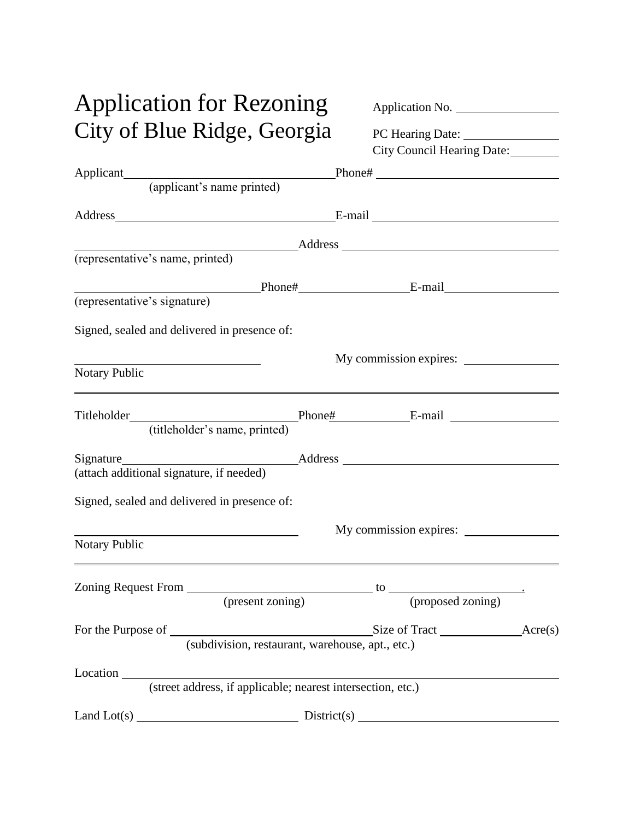# Application for Rezoning Application No. City of Blue Ridge, Georgia PC Hearing Date:

| Application No.                                                          |  |
|--------------------------------------------------------------------------|--|
|                                                                          |  |
| $\mathbf{D} \cap \mathbf{H}_{\text{cosim}} \cap \mathbf{D}_{\text{obs}}$ |  |

|                                                   | City Council Hearing Date:                                                                                             |
|---------------------------------------------------|------------------------------------------------------------------------------------------------------------------------|
|                                                   |                                                                                                                        |
|                                                   | Applicant<br>(applicant's name printed)<br>Phone# <u>None</u>                                                          |
|                                                   | Address E-mail E-mail                                                                                                  |
|                                                   |                                                                                                                        |
| (representative's name, printed)                  |                                                                                                                        |
|                                                   |                                                                                                                        |
| (representative's signature)                      |                                                                                                                        |
| Signed, sealed and delivered in presence of:      |                                                                                                                        |
|                                                   | My commission expires:                                                                                                 |
| <b>Notary Public</b>                              |                                                                                                                        |
|                                                   |                                                                                                                        |
| (titleholder's name, printed)                     |                                                                                                                        |
|                                                   |                                                                                                                        |
| (attach additional signature, if needed)          |                                                                                                                        |
| Signed, sealed and delivered in presence of:      |                                                                                                                        |
| <u> 1989 - Johann Barbara, martin amerikan ba</u> | My commission expires:                                                                                                 |
| <b>Notary Public</b>                              | <u> 1989 - Johann Stoff, deutscher Stoffen und der Stoffen und der Stoffen und der Stoffen und der Stoffen und der</u> |
|                                                   |                                                                                                                        |
|                                                   |                                                                                                                        |
|                                                   |                                                                                                                        |
|                                                   | (subdivision, restaurant, warehouse, apt., etc.)                                                                       |

Land Lot(s)  $\qquad \qquad \qquad$ 

(street address, if applicable; nearest intersection, etc.)

Location

| District(s) |  |
|-------------|--|
|             |  |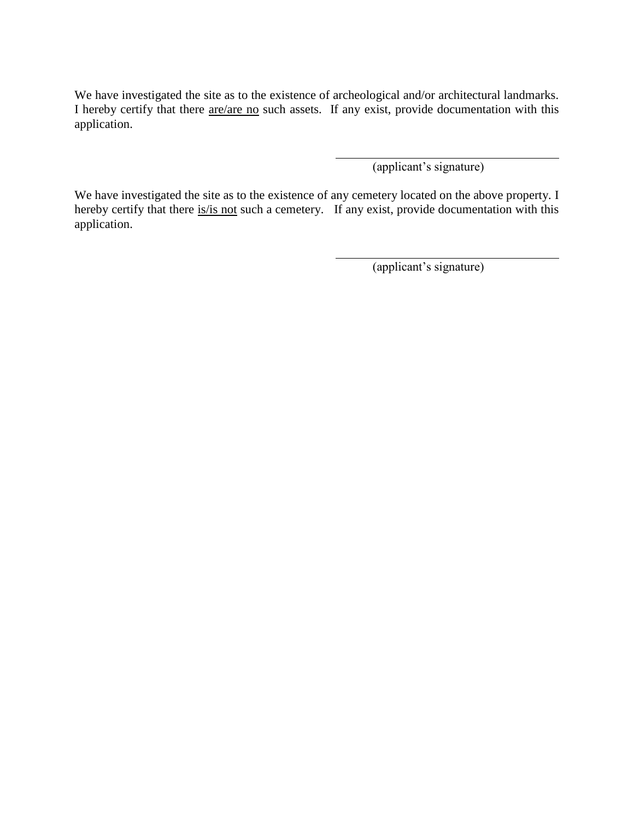We have investigated the site as to the existence of archeological and/or architectural landmarks. I hereby certify that there <u>are/are no</u> such assets. If any exist, provide documentation with this application.

(applicant's signature)

We have investigated the site as to the existence of any cemetery located on the above property. I hereby certify that there is/is not such a cemetery. If any exist, provide documentation with this application.

(applicant's signature)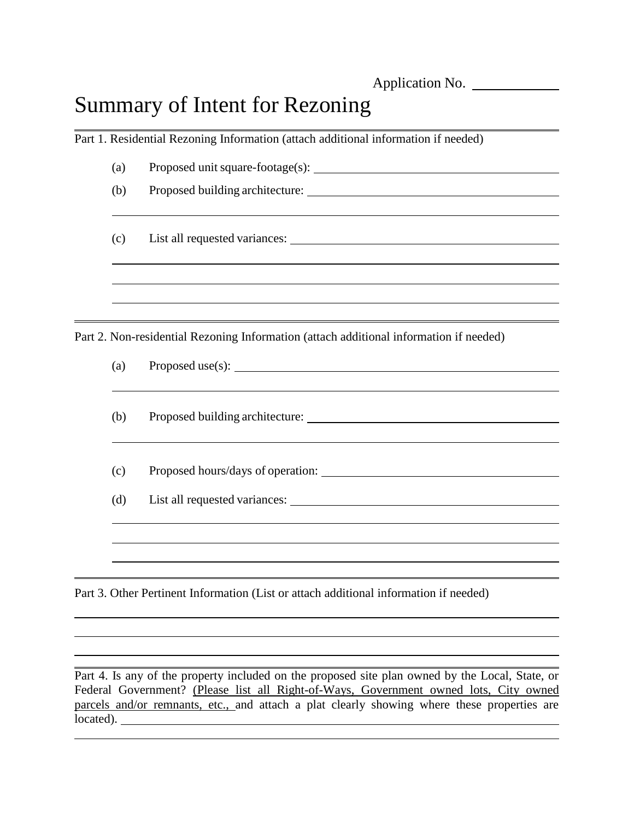Application No.

## Summary of Intent for Rezoning

Part 1. Residential Rezoning Information (attach additional information if needed)

| (a) | Proposed unit square-footage(s): |
|-----|----------------------------------|
| (b) | Proposed building architecture:  |

<u> 1989 - Johann Stoff, amerikansk politiker (\* 1908)</u>

(c) List all requested variances:

Part 2. Non-residential Rezoning Information (attach additional information if needed)

| (a)        |  |
|------------|--|
| (b)        |  |
| (c)<br>(d) |  |
|            |  |

Part 3. Other Pertinent Information (List or attach additional information if needed)

Part 4. Is any of the property included on the proposed site plan owned by the Local, State, or Federal Government? (Please list all Right-of-Ways, Government owned lots, City owned parcels and/or remnants, etc., and attach a plat clearly showing where these properties are located).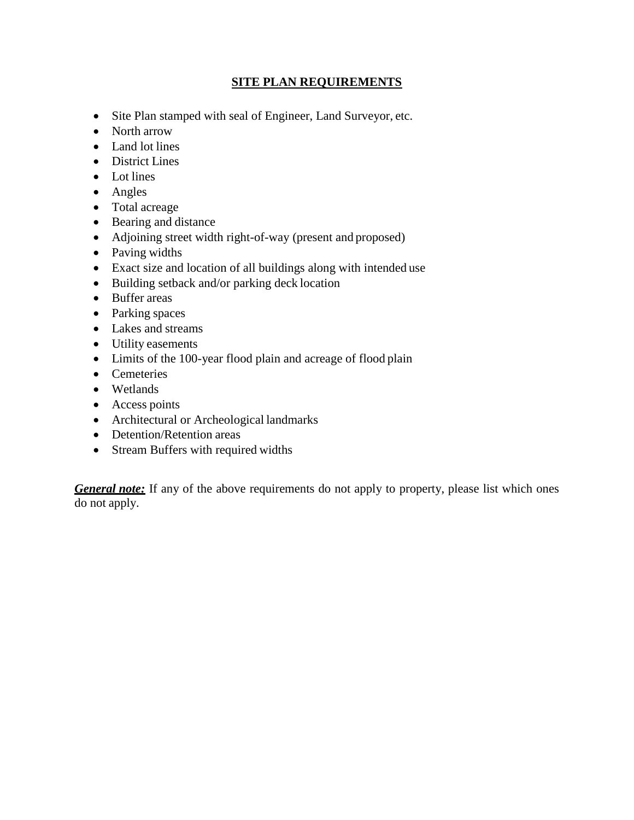#### **SITE PLAN REQUIREMENTS**

- Site Plan stamped with seal of Engineer, Land Surveyor, etc.
- North arrow
- Land lot lines
- District Lines
- Lot lines
- Angles
- Total acreage
- Bearing and distance
- Adjoining street width right-of-way (present and proposed)
- Paving widths
- Exact size and location of all buildings along with intended use
- Building setback and/or parking deck location
- Buffer areas
- Parking spaces
- Lakes and streams
- Utility easements
- Limits of the 100-year flood plain and acreage of flood plain
- Cemeteries
- Wetlands
- Access points
- Architectural or Archeological landmarks
- Detention/Retention areas
- Stream Buffers with required widths

*General note:* If any of the above requirements do not apply to property, please list which ones do not apply.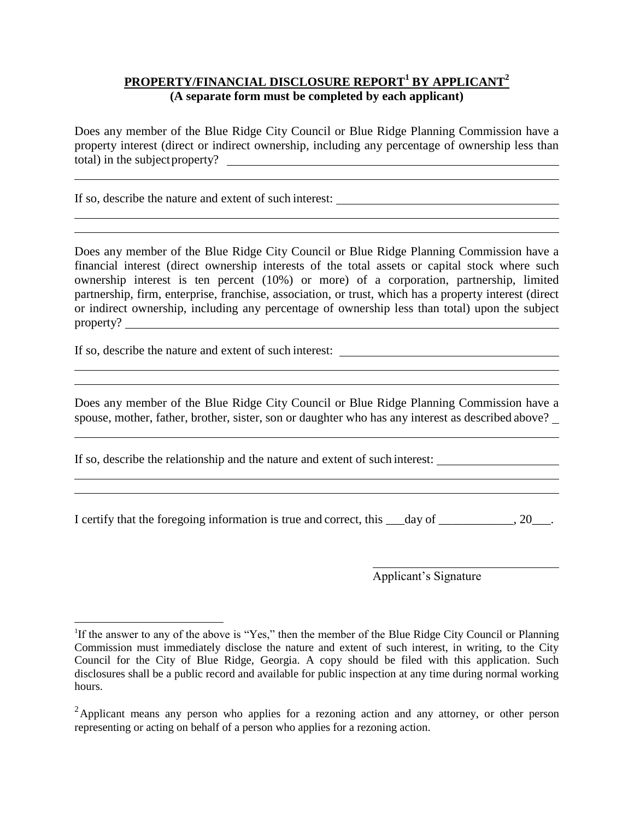### **PROPERTY/FINANCIAL DISCLOSURE REPORT<sup>1</sup> BY APPLICANT<sup>2</sup> (A separate form must be completed by each applicant)**

Does any member of the Blue Ridge City Council or Blue Ridge Planning Commission have a property interest (direct or indirect ownership, including any percentage of ownership less than total) in the subjectproperty?

If so, describe the nature and extent of such interest:

Does any member of the Blue Ridge City Council or Blue Ridge Planning Commission have a financial interest (direct ownership interests of the total assets or capital stock where such ownership interest is ten percent (10%) or more) of a corporation, partnership, limited partnership, firm, enterprise, franchise, association, or trust, which has a property interest (direct or indirect ownership, including any percentage of ownership less than total) upon the subject property?

If so, describe the nature and extent of such interest:

 $\overline{a}$ 

Does any member of the Blue Ridge City Council or Blue Ridge Planning Commission have a spouse, mother, father, brother, sister, son or daughter who has any interest as described above?

If so, describe the relationship and the nature and extent of such interest:

I certify that the foregoing information is true and correct, this  $\_\_day$  of  $\_\_\_\_\_$ , 20 $\_\_\_\_\$ .

Applicant's Signature

<sup>&</sup>lt;sup>1</sup>If the answer to any of the above is "Yes," then the member of the Blue Ridge City Council or Planning Commission must immediately disclose the nature and extent of such interest, in writing, to the City Council for the City of Blue Ridge, Georgia. A copy should be filed with this application. Such disclosures shall be a public record and available for public inspection at any time during normal working hours.

<sup>&</sup>lt;sup>2</sup>Applicant means any person who applies for a rezoning action and any attorney, or other person representing or acting on behalf of a person who applies for a rezoning action.